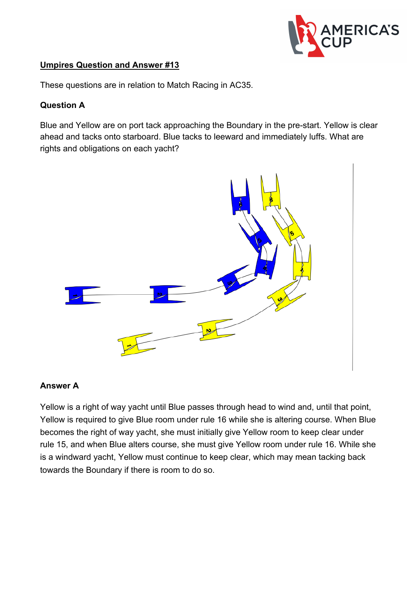

### **Umpires Question and Answer #13**

These questions are in relation to Match Racing in AC35.

## **Question A**

Blue and Yellow are on port tack approaching the Boundary in the pre-start. Yellow is clear ahead and tacks onto starboard. Blue tacks to leeward and immediately luffs. What are rights and obligations on each yacht?



#### **Answer A**

Yellow is a right of way yacht until Blue passes through head to wind and, until that point, Yellow is required to give Blue room under rule 16 while she is altering course. When Blue becomes the right of way yacht, she must initially give Yellow room to keep clear under rule 15, and when Blue alters course, she must give Yellow room under rule 16. While she is a windward yacht, Yellow must continue to keep clear, which may mean tacking back towards the Boundary if there is room to do so.